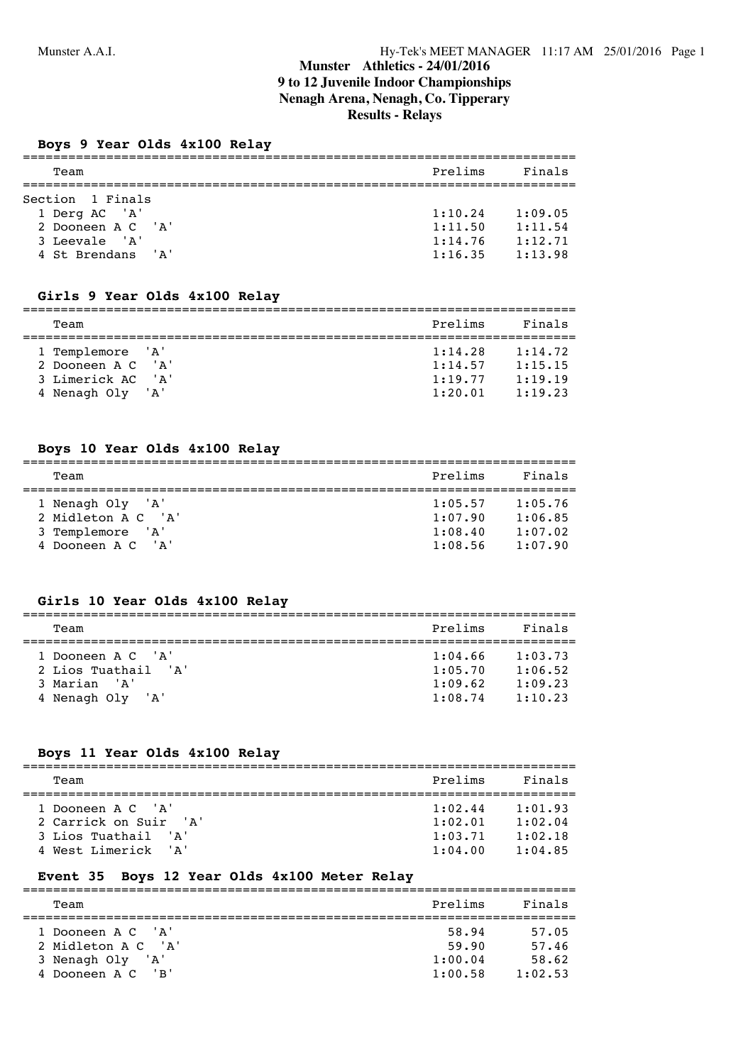## **Munster Athletics - 24/01/2016 9 to 12 Juvenile Indoor Championships Nenagh Arena, Nenagh, Co. Tipperary Results - Relays**

#### **Boys 9 Year Olds 4x100 Relay**

| Team                                                                                         | Prelims                                  | Finals                                   |
|----------------------------------------------------------------------------------------------|------------------------------------------|------------------------------------------|
| Section 1 Finals<br>1 Derg AC 'A'<br>2 Dooneen A C 'A'<br>3 Leevale 'A'<br>4 St Brendans 'A' | 1:10.24<br>1:11.50<br>1:14.76<br>1:16.35 | 1:09.05<br>1:11.54<br>1:12.71<br>1:13.98 |

#### **Girls 9 Year Olds 4x100 Relay**

| Team              | Prelims | Finals  |
|-------------------|---------|---------|
|                   |         |         |
| 1 Templemore 'A'  | 1:14.28 | 1:14.72 |
| 2 Dooneen A C 'A' | 1:14.57 | 1:15.15 |
| 3 Limerick AC 'A' | 1:19.77 | 1:19.19 |
| 4 Nenagh Oly 'A'  | 1:20.01 | 1:19.23 |

#### **Boys 10 Year Olds 4x100 Relay**

| Team                  | Prelims | Finals  |
|-----------------------|---------|---------|
|                       |         |         |
| 1 Nenagh Oly 'A'      | 1:05.57 | 1:05.76 |
| 2 Midleton A C 'A'    | 1:07.90 | 1:06.85 |
| 3 Templemore 'A'      | 1:08.40 | 1:07.02 |
| 4 Dooneen A C<br>י בי | 1:08.56 | 1:07.90 |

#### **Girls 10 Year Olds 4x100 Relay**

| Team                                                                         | Prelims                                  | Finals                                   |
|------------------------------------------------------------------------------|------------------------------------------|------------------------------------------|
| 1 Dooneen A C 'A'<br>2 Lios Tuathail 'A'<br>3 Marian 'A'<br>4 Nenagh Oly 'A' | 1:04.66<br>1:05.70<br>1:09.62<br>1:08.74 | 1:03.73<br>1:06.52<br>1:09.23<br>1:10.23 |

#### **Boys 11 Year Olds 4x100 Relay**

| Team                  | Prelims | Finals  |
|-----------------------|---------|---------|
|                       |         |         |
| 1 Dooneen A C 'A'     | 1:02.44 | 1:01.93 |
| 2 Carrick on Suir 'A' | 1:02.01 | 1:02.04 |
| 3 Lios Tuathail 'A'   | 1:03.71 | 1:02.18 |
| 4 West Limerick 'A'   | 1:04.00 | 1:04.85 |

#### **Event 35 Boys 12 Year Olds 4x100 Meter Relay**

| Prelims<br>Team                                                                                                          | Finals                             |
|--------------------------------------------------------------------------------------------------------------------------|------------------------------------|
| 1 Dooneen A C 'A'<br>58.94<br>2 Midleton A C 'A'<br>59.90<br>3 Nenagh Oly 'A'<br>1:00.04<br>4 Dooneen A C 'B'<br>1:00.58 | 57.05<br>57.46<br>58.62<br>1:02.53 |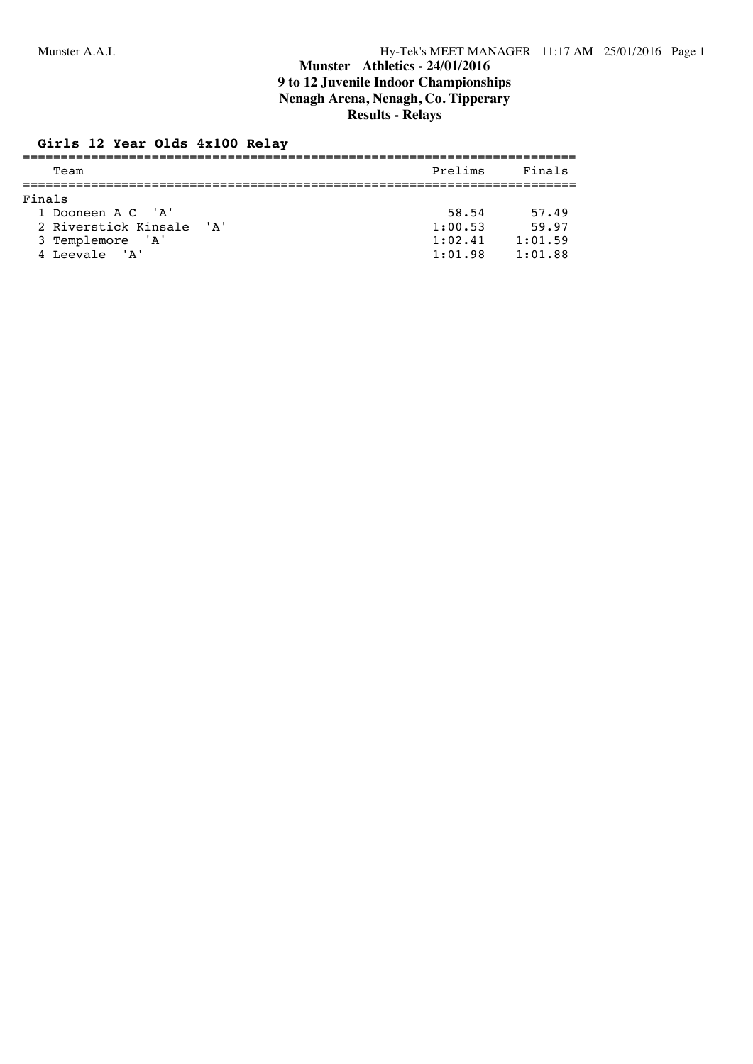# **Munster Athletics - 24/01/2016 9 to 12 Juvenile Indoor Championships Nenagh Arena, Nenagh, Co. Tipperary Results - Relays**

#### **Girls 12 Year Olds 4x100 Relay**

| Team                         | Prelims | Finals  |
|------------------------------|---------|---------|
| Finals                       |         |         |
|                              |         |         |
| 1 Dooneen A C 'A'            | 58.54   | 57.49   |
| 2 Riverstick Kinsale<br>י ג' | 1:00.53 | 59.97   |
| 3 Templemore 'A'             | 1:02.41 | 1:01.59 |
| 4 Leevale 'A'                | 1:01.98 | 1:01.88 |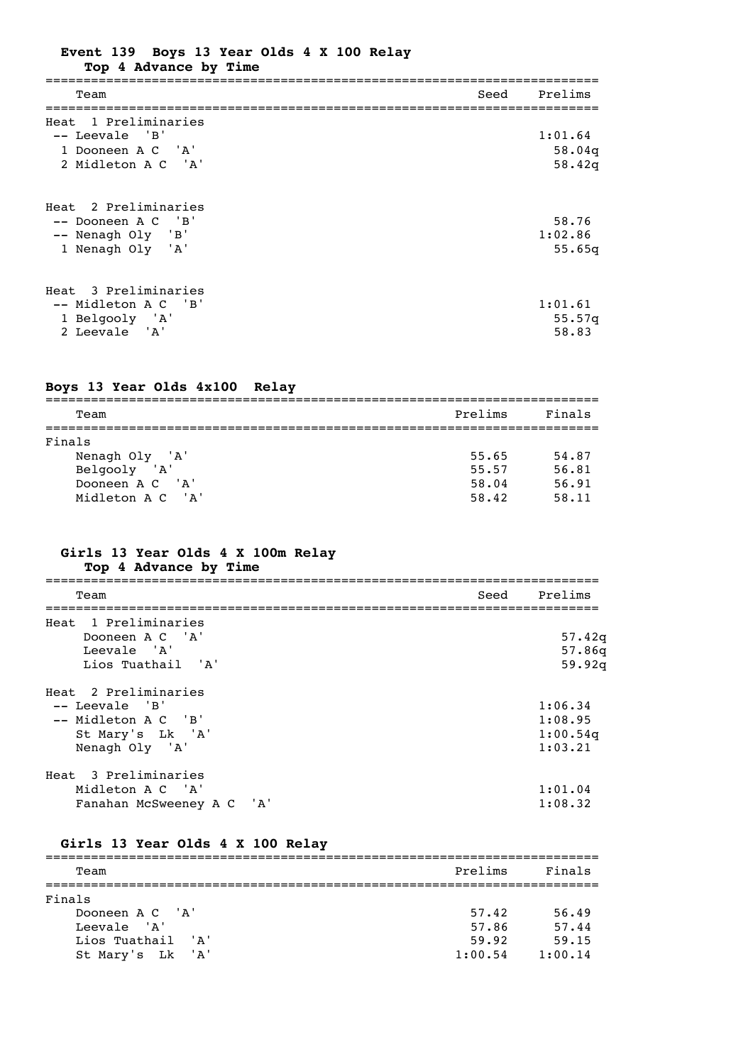| Event 139 Boys 13 Year Olds 4 X 100 Relay |                   |  |  |  |  |
|-------------------------------------------|-------------------|--|--|--|--|
|                                           | _ _ _ _ _ _ _ _ _ |  |  |  |  |

**Top 4 Advance by Time**

| Team                                                                                | Seed | Prelims                     |
|-------------------------------------------------------------------------------------|------|-----------------------------|
| Heat 1 Preliminaries<br>-- Leevale 'B'<br>1 Dooneen A C 'A'<br>2 Midleton A C 'A'   |      | 1:01.64<br>58.04q<br>58.42q |
| Heat 2 Preliminaries<br>-- Dooneen A C 'B'<br>-- Nenagh Oly 'B'<br>1 Nenagh Oly 'A' |      | 58.76<br>1:02.86<br>55.65q  |
| Heat 3 Preliminaries<br>-- Midleton A C 'B'<br>1 Belgooly 'A'<br>2 Leevale 'A'      |      | 1:01.61<br>55.57q<br>58.83  |

# **Boys 13 Year Olds 4x100 Relay**

| Team                  | Prelims | Finals |
|-----------------------|---------|--------|
| Finals                |         |        |
| Nenagh Oly 'A'        | 55.65   | 54.87  |
| Belgooly 'A'          | 55.57   | 56.81  |
| 'A'<br>Dooneen A C    | 58.04   | 56.91  |
| Midleton A C<br>' A ' | 58.42   | 58.11  |

#### **Girls 13 Year Olds 4 X 100m Relay Top 4 Advance by Time**

| Team                      | Seed Prelims |
|---------------------------|--------------|
| Heat 1 Preliminaries      |              |
| Dooneen A C 'A'           | 57.42q       |
| Leevale 'A'               | 57.86q       |
| Lios Tuathail 'A'         | 59.92q       |
| Heat 2 Preliminaries      |              |
| $--$ Leevale $'B'$        | 1:06.34      |
| -- Midleton A C 'B'       | 1:08.95      |
| St Mary's Lk 'A'          | 1:00.54q     |
| Nenagh Oly 'A'            | 1:03.21      |
| Heat 3 Preliminaries      |              |
| Midleton A C 'A'          | 1:01.04      |
| Fanahan McSweeney A C 'A' | 1:08.32      |

# **Girls 13 Year Olds 4 X 100 Relay**

| Team              | Prelims | Finals  |
|-------------------|---------|---------|
|                   |         |         |
| Finals            |         |         |
| Dooneen A C 'A'   | 57.42   | 56.49   |
| Leevale 'A'       | 57.86   | 57.44   |
| Lios Tuathail 'A' | 59.92   | 59.15   |
| St Mary's Lk 'A'  | 1:00.54 | 1:00.14 |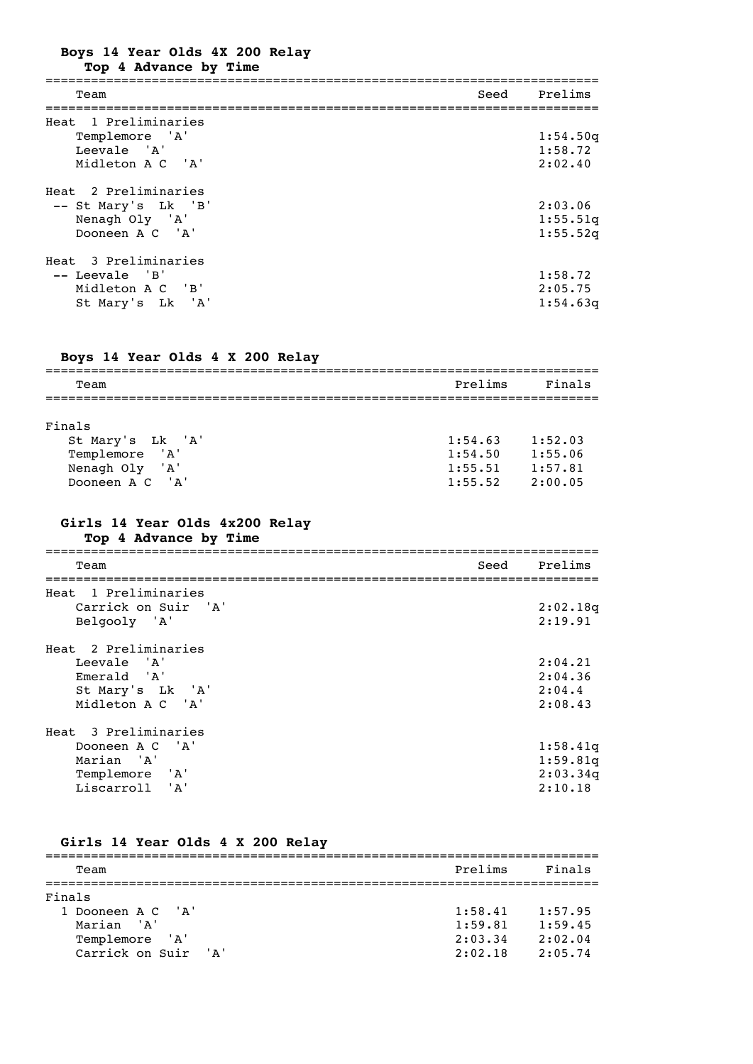**Boys 14 Year Olds 4X 200 Relay**

**Top 4 Advance by Time**

| Team                                                                             | Seed | Prelims                         |
|----------------------------------------------------------------------------------|------|---------------------------------|
| Heat 1 Preliminaries<br>Templemore 'A'<br>Leevale 'A'<br>Midleton A C 'A'        |      | 1:54.50q<br>1:58.72<br>2:02.40  |
| Heat 2 Preliminaries<br>-- St Mary's Lk 'B'<br>Nenagh Oly 'A'<br>Dooneen A C 'A' |      | 2:03.06<br>1:55.51q<br>1:55.52q |
| Heat 3 Preliminaries<br>-- Leevale 'B'<br>Midleton A C 'B'<br>St Mary's Lk 'A'   |      | 1:58.72<br>2:05.75<br>1:54.63q  |

## **Boys 14 Year Olds 4 X 200 Relay**

| Team              | Prelims | Finals  |
|-------------------|---------|---------|
|                   |         |         |
| Finals            |         |         |
| St Mary's Lk 'A'  | 1:54.63 | 1:52.03 |
| Templemore 'A'    | 1:54.50 | 1:55.06 |
| 'A'<br>Nenagh Oly | 1:55.51 | 1:57.81 |
| Dooneen A C 'A'   | 1:55.52 | 2:00.05 |

# **Girls 14 Year Olds 4x200 Relay**

**Top 4 Advance by Time**

| Team                 | Seed | Prelims  |
|----------------------|------|----------|
| Heat 1 Preliminaries |      |          |
| Carrick on Suir 'A'  |      | 2:02.18q |
| Belgooly 'A'         |      | 2:19.91  |
| Heat 2 Preliminaries |      |          |
| Leevale 'A'          |      | 2:04.21  |
| Emerald 'A'          |      | 2:04.36  |
| St Mary's Lk 'A'     |      | 2:04.4   |
| Midleton A C 'A'     |      | 2:08.43  |
| Heat 3 Preliminaries |      |          |
| Dooneen A C 'A'      |      | 1:58.41q |
| Marian 'A'           |      | 1:59.81q |
| Templemore 'A'       |      | 2:03.34q |
| Liscarroll 'A'       |      | 2:10.18  |

## **Girls 14 Year Olds 4 X 200 Relay**

| Team                                  | Prelims            | Finals             |
|---------------------------------------|--------------------|--------------------|
| Finals                                |                    |                    |
| 1 Dooneen A C 'A'<br>Marian 'A'       | 1:58.41<br>1:59.81 | 1:57.95<br>1:59.45 |
| Templemore 'A'<br>Carrick on Suir 'A' | 2:03.34<br>2:02.18 | 2:02.04<br>2:05.74 |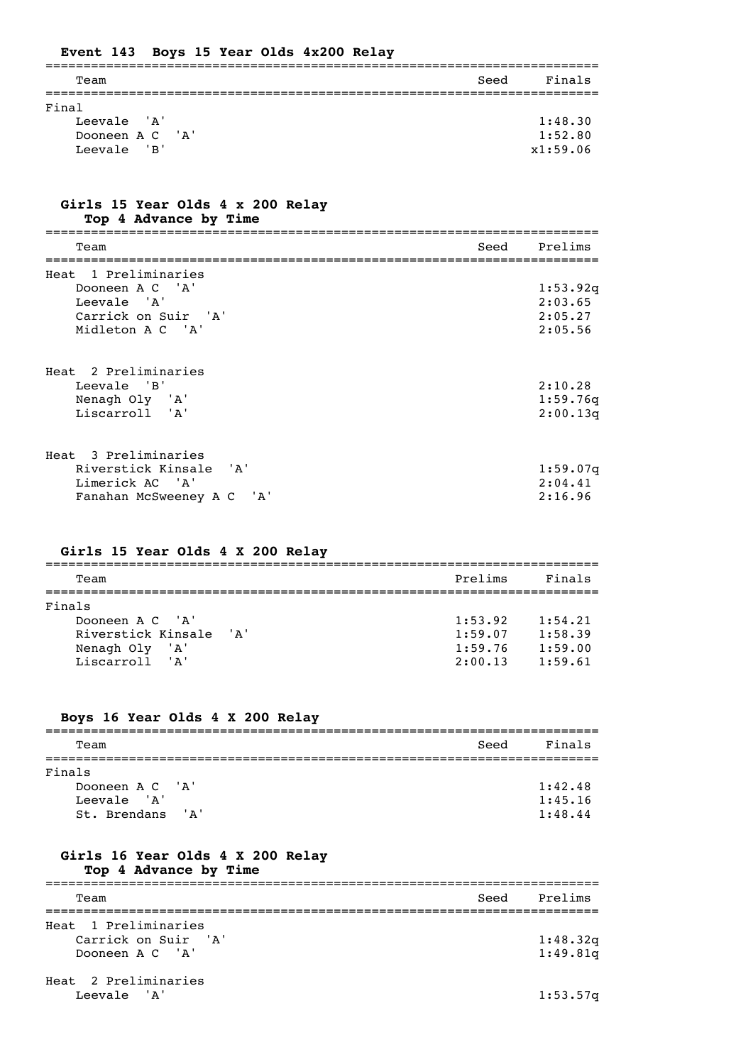|                                                        |  | Event 143 Boys 15 Year Olds 4x200 Relay |      |                                |
|--------------------------------------------------------|--|-----------------------------------------|------|--------------------------------|
| Team                                                   |  |                                         | Seed | Finals                         |
| Final<br>Leevale 'A'<br>Dooneen A C 'A'<br>Leevale 'B' |  |                                         |      | 1:48.30<br>1:52.80<br>x1:59.06 |

### **Girls 15 Year Olds 4 x 200 Relay Top 4 Advance by Time**

| Team                      | Seed | Prelims  |
|---------------------------|------|----------|
|                           |      |          |
| Heat 1 Preliminaries      |      |          |
| Dooneen A C 'A'           |      | 1:53.92q |
| Leevale 'A'               |      | 2:03.65  |
| Carrick on Suir 'A'       |      | 2:05.27  |
| Midleton A C 'A'          |      | 2:05.56  |
| Heat 2 Preliminaries      |      |          |
| Leevale 'B'               |      | 2:10.28  |
| Nenagh Oly 'A'            |      | 1:59.76q |
| Liscarroll 'A'            |      | 2:00.13q |
| Heat 3 Preliminaries      |      |          |
| Riverstick Kinsale 'A'    |      | 1:59.07q |
| Limerick AC 'A'           |      | 2:04.41  |
| Fanahan McSweeney A C 'A' |      | 2:16.96  |
|                           |      |          |

#### **Girls 15 Year Olds 4 X 200 Relay**

| Team                                                                         | Prelims                       | Finals                        |
|------------------------------------------------------------------------------|-------------------------------|-------------------------------|
| Finals<br>Dooneen A C 'A'<br>Riverstick Kinsale<br>י בי<br>Nenagh Oly<br>'A' | 1:53.92<br>1:59.07<br>1:59.76 | 1:54.21<br>1:58.39<br>1:59.00 |
| Liscarroll 'A'                                                               | 2:00.13                       | 1:59.61                       |

#### **Boys 16 Year Olds 4 X 200 Relay**

| Team             | Seed | Finals  |
|------------------|------|---------|
|                  |      |         |
| Finals           |      |         |
| Dooneen A C 'A'  |      | 1:42.48 |
| Leevale 'A'      |      | 1:45.16 |
| St. Brendans 'A' |      | 1:48.44 |

# **Girls 16 Year Olds 4 X 200 Relay**

# **Top 4 Advance by Time**

| Team                                                           | Seed Prelims         |
|----------------------------------------------------------------|----------------------|
| Heat 1 Preliminaries<br>Carrick on Suir 'A'<br>Dooneen A C 'A' | 1:48.32q<br>1:49.81q |
| Heat 2 Preliminaries<br>Leevale 'A'                            | 1:53.57q             |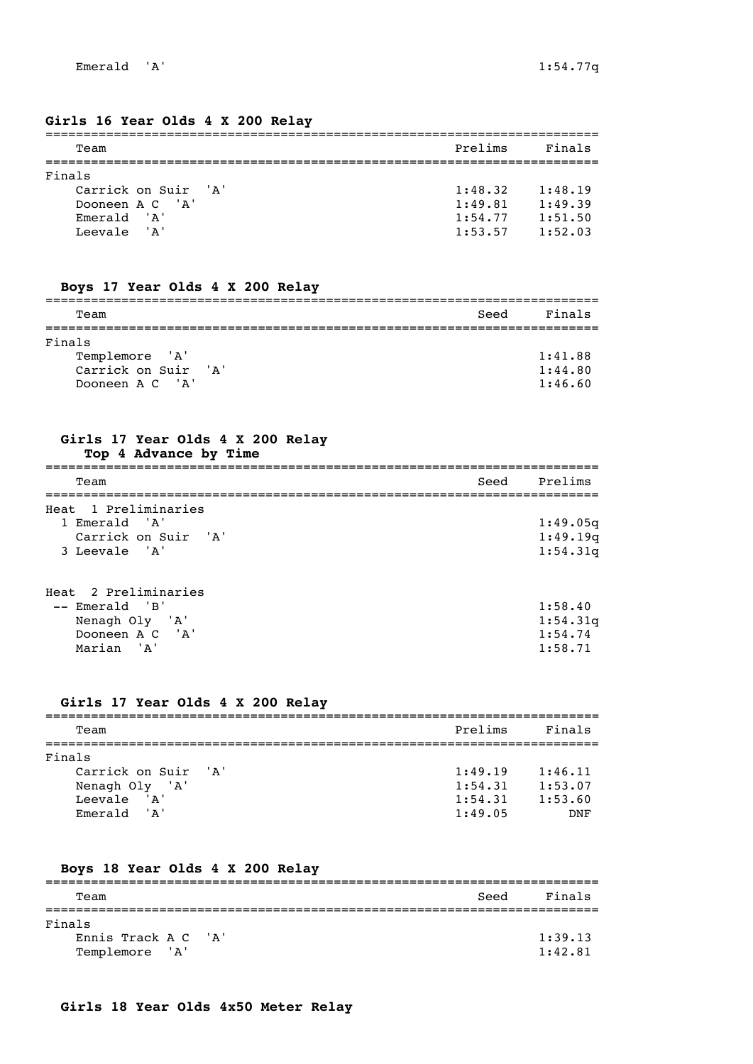#### **Girls 16 Year Olds 4 X 200 Relay**

| Team                | Prelims | Finals  |
|---------------------|---------|---------|
| Finals              |         |         |
| Carrick on Suir 'A' | 1:48.32 | 1:48.19 |
| Dooneen A C 'A'     | 1:49.81 | 1:49.39 |
| Emerald 'A'         | 1:54.77 | 1:51.50 |
| Leevale 'A'         | 1:53.57 | 1:52.03 |
|                     |         |         |

## **Boys 17 Year Olds 4 X 200 Relay**

| Team                | Seed | Finals  |
|---------------------|------|---------|
|                     |      |         |
| Finals              |      |         |
| Templemore 'A'      |      | 1:41.88 |
| Carrick on Suir 'A' |      | 1:44.80 |
| Dooneen A C 'A'     |      | 1:46.60 |

#### **Girls 17 Year Olds 4 X 200 Relay Top 4 Advance by Time**

| Team                                                                          | Seed Prelims                     |
|-------------------------------------------------------------------------------|----------------------------------|
| Heat 1 Preliminaries<br>1 Emerald 'A'<br>Carrick on Suir 'A'<br>3 Leevale 'A' | 1:49.05q<br>1:49.19q<br>1:54.31q |

#### Heat 2 Preliminaries -- Emerald 'B' 1:58.40 Nenagh Oly 'A' 1:54.31q Dooneen A C  $'A'$ Marian 'A' 1:58.71

#### **Girls 17 Year Olds 4 X 200 Relay**

| Team                | Prelims | Finals     |
|---------------------|---------|------------|
|                     |         |            |
| Finals              |         |            |
| Carrick on Suir 'A' | 1:49.19 | 1:46.11    |
| Nenagh Oly 'A'      | 1:54.31 | 1:53.07    |
| 'A'<br>Leevale      | 1:54.31 | 1:53.60    |
| Emerald 'A'         | 1:49.05 | <b>DNF</b> |

#### **Boys 18 Year Olds 4 X 200 Relay**

| Team                | Seed | Finals  |
|---------------------|------|---------|
|                     |      |         |
| Finals              |      |         |
| Ennis Track A C 'A' |      | 1:39.13 |
| Templemore<br>'A'   |      | 1:42.81 |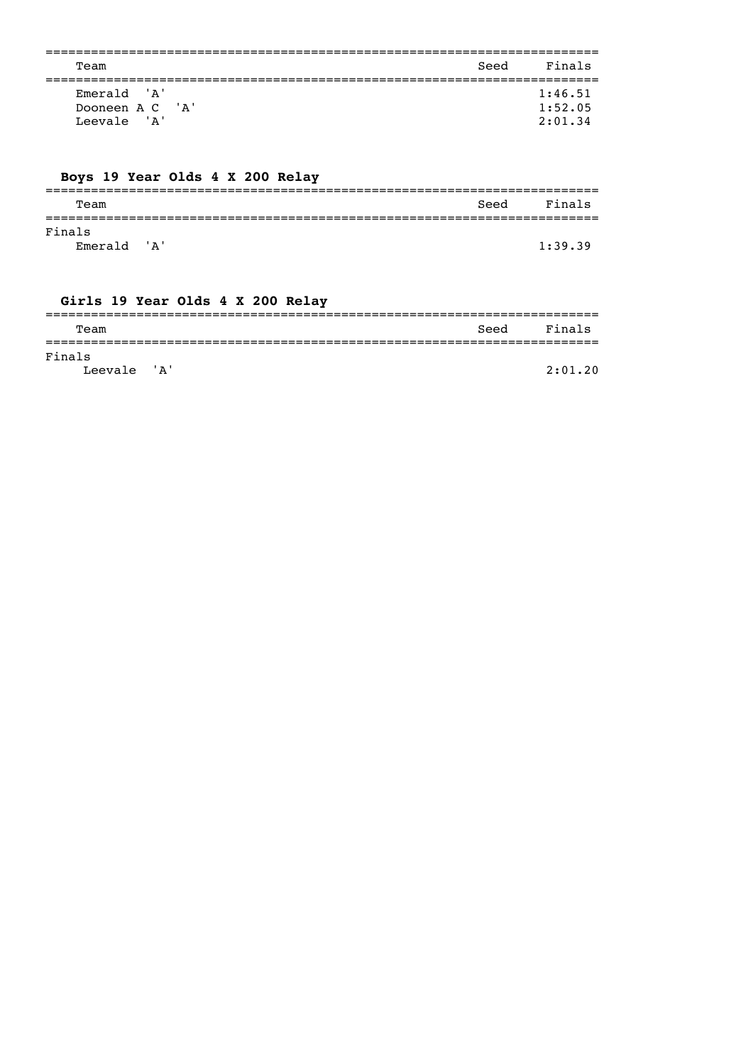| Team            | Seed | Finals  |
|-----------------|------|---------|
|                 |      |         |
| Emerald 'A'     |      | 1:46.51 |
| Dooneen A C 'A' |      | 1:52.05 |
| Leevale 'A'     |      | 2:01.34 |
|                 |      |         |

# Boys 19 Year Olds 4 X 200 Relay

| Team                  |  | Seed | Finals  |
|-----------------------|--|------|---------|
| Finals<br>Emerald 'A' |  |      | 1:39.39 |

# Girls 19 Year Olds 4 X 200 Relay

| Team        |  | Seed | Finals  |
|-------------|--|------|---------|
|             |  |      |         |
| Finals      |  |      |         |
| Leevale 'A' |  |      | 2:01.20 |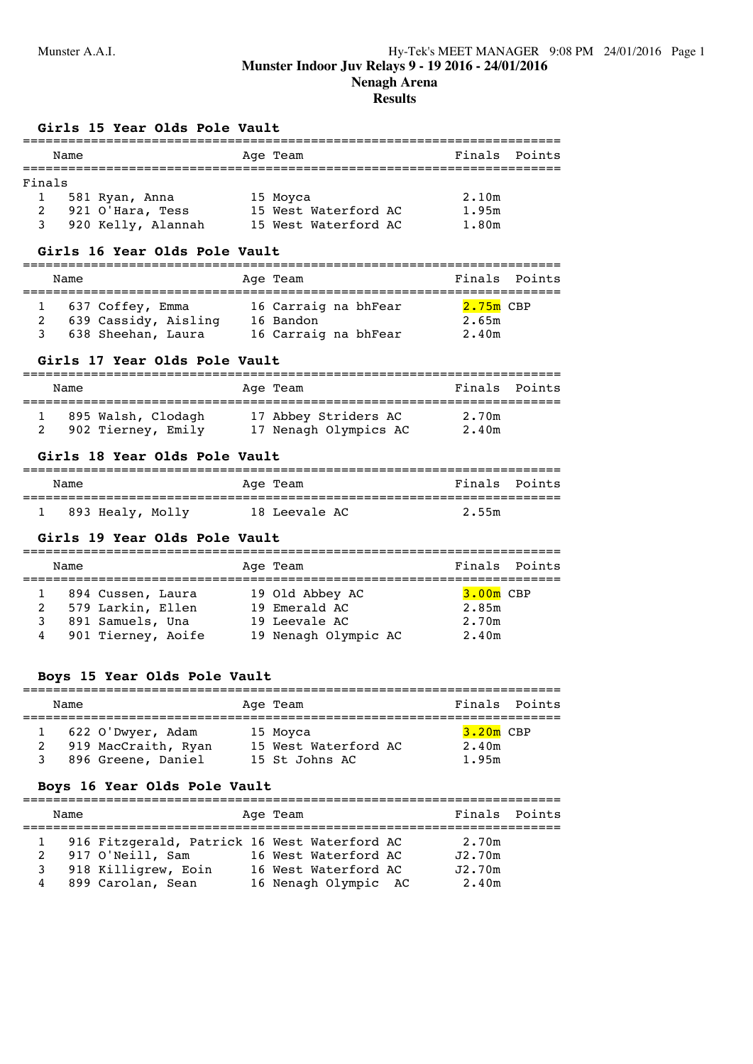# **Results**

#### **Girls 15 Year Olds Pole Vault**

|        | Name |                    | Age Team             | Finals Points |  |
|--------|------|--------------------|----------------------|---------------|--|
|        |      |                    |                      |               |  |
| Finals |      |                    |                      |               |  |
|        |      | 581 Ryan, Anna     | 15 Moyca             | 2.10m         |  |
|        |      | 921 O'Hara, Tess   | 15 West Waterford AC | 1.95m         |  |
|        |      | 920 Kelly, Alannah | 15 West Waterford AC | 1.80m         |  |

#### **Girls 16 Year Olds Pole Vault**

| Name |                      | Age Team             |             | Finals Points |
|------|----------------------|----------------------|-------------|---------------|
|      | 1 637 Coffey, Emma   | 16 Carraig na bhFear | $2.75m$ CBP |               |
|      | 639 Cassidy, Aisling | 16 Bandon            | 2.65m       |               |
|      | 638 Sheehan, Laura   | 16 Carraig na bhFear | 2.40m       |               |

#### **Girls 17 Year Olds Pole Vault**

| Name |                    | Age Team              | Finals Points |  |
|------|--------------------|-----------------------|---------------|--|
|      | 895 Walsh, Clodagh | 17 Abbey Striders AC  | 2.70m         |  |
|      | 902 Tierney, Emily | 17 Nenagh Olympics AC | 2.40m         |  |

#### **Girls 18 Year Olds Pole Vault**

| Name             | Age Team      | Finals Points |
|------------------|---------------|---------------|
| 893 Healy, Molly | 18 Leevale AC | 2.55m         |

#### **Girls 19 Year Olds Pole Vault**

| Name                     |                                                                                  | Age Team                                                                  | Finals                                 | Points |
|--------------------------|----------------------------------------------------------------------------------|---------------------------------------------------------------------------|----------------------------------------|--------|
| $\overline{2}$<br>3<br>4 | 894 Cussen, Laura<br>579 Larkin, Ellen<br>891 Samuels, Una<br>901 Tierney, Aoife | 19 Old Abbey AC<br>19 Emerald AC<br>19 Leevale AC<br>19 Nenagh Olympic AC | $3.00m$ CBP<br>2.85m<br>2.70m<br>2.40m |        |

#### **Boys 15 Year Olds Pole Vault**

| Name |                                                                | Age Team                                           | Finals         | Points      |
|------|----------------------------------------------------------------|----------------------------------------------------|----------------|-------------|
|      | 622 O'Dwyer, Adam<br>919 MacCraith, Ryan<br>896 Greene, Daniel | 15 Moyca<br>15 West Waterford AC<br>15 St Johns AC | 2.40m<br>1.95m | $3.20m$ CBP |

#### **Boys 16 Year Olds Pole Vault**

| Age Team<br>Name                                                                                                      | Finals Points |
|-----------------------------------------------------------------------------------------------------------------------|---------------|
| 916 Fitzgerald, Patrick 16 West Waterford AC<br>2.70m<br>917 O'Neill, Sam<br>16 West Waterford AC<br>J2.70m<br>2      |               |
| 918 Killigrew, Eoin<br>16 West Waterford AC<br>J2.70m<br>3<br>899 Carolan, Sean<br>16 Nenagh Olympic AC<br>2.40m<br>4 |               |